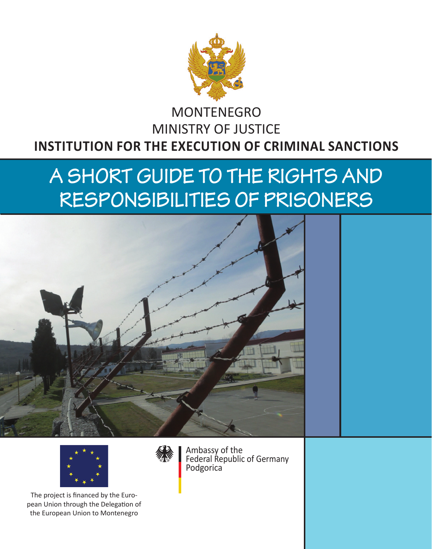

#### **MONTENFGRO** Ministry of Justice **Institution for the Execution of Criminal Sanctions**

# **A short guide to the rights and responsibilities of prisoners**





The project is financed by the European Union through the Delegation of the European Union to Montenegro



Ambassy of the Federal Republic of Germany Podgorica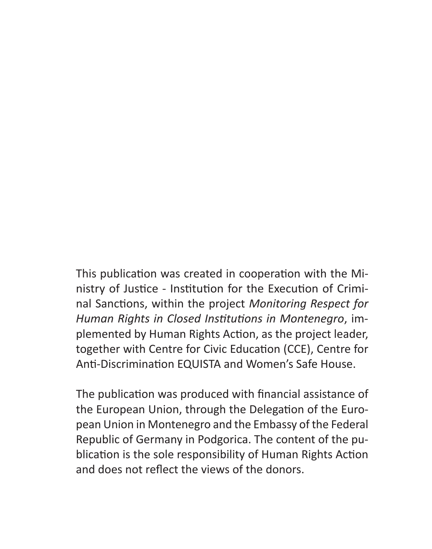This publication was created in cooperation with the Ministry of Justice - Institution for the Execution of Criminal Sanctions, within the project *Monitoring Respect for Human Rights in Closed Institutions in Montenegro*, implemented by Human Rights Action, as the project leader, together with Centre for Civic Education (CCE), Centre for Anti-Discrimination EQUISTA and Women's Safe House.

The publication was produced with financial assistance of the European Union, through the Delegation of the European Union in Montenegro and the Embassy of the Federal Republic of Germany in Podgorica. The content of the publication is the sole responsibility of Human Rights Action and does not reflect the views of the donors.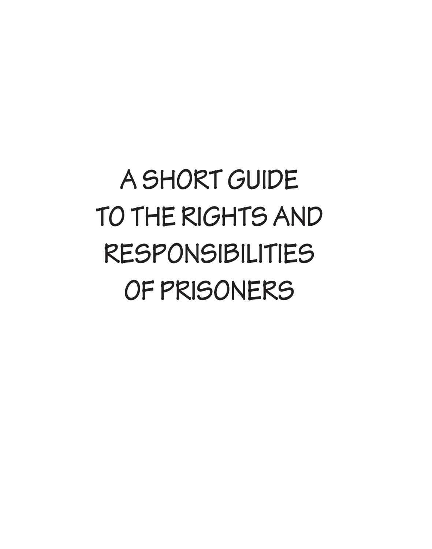# **A short guide to the rights and responsibilities of prisoners**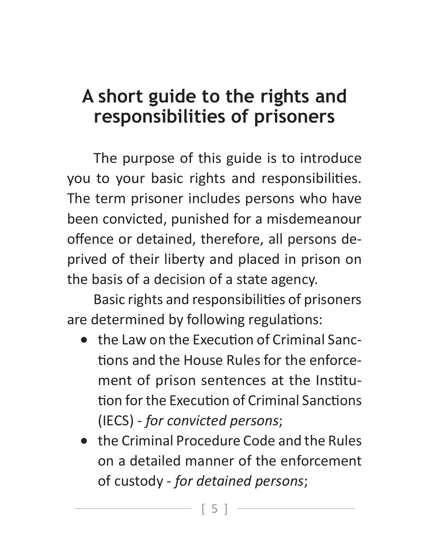## **A short guide to the rights and responsibilities of prisoners**

The purpose of this guide is to introduce you to your basic rights and responsibilities. The term prisoner includes persons who have been convicted, punished for a misdemeanour offence or detained, therefore, all persons deprived of their liberty and placed in prison on the basis of a decision of a state agency.

Basic rights and responsibilities of prisoners are determined by following regulations:

- the Law on the Execution of Criminal Sanctions and the House Rules for the enforcement of prison sentences at the Institution for the Execution of Criminal Sanctions (IECS) - *for convicted persons*;
- the Criminal Procedure Code and the Rules on a detailed manner of the enforcement of custody - *for detained persons*;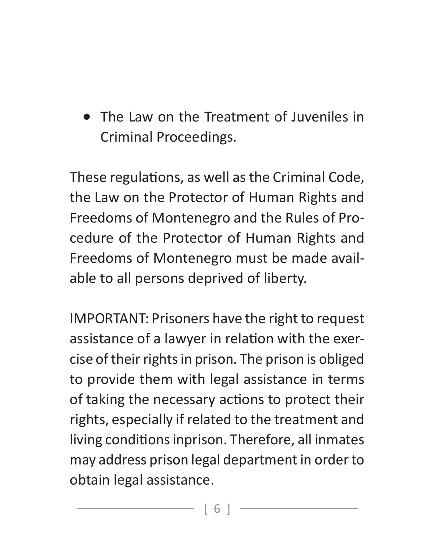• The Law on the Treatment of Juveniles in Criminal Proceedings.

These regulations, as well as the Criminal Code, the Law on the Protector of Human Rights and Freedoms of Montenegro and the Rules of Procedure of the Protector of Human Rights and Freedoms of Montenegro must be made available to all persons deprived of liberty.

IMPORTANT: Prisoners have the right to request assistance of a lawyer in relation with the exercise of their rights in prison. The prison is obliged to provide them with legal assistance in terms of taking the necessary actions to protect their rights, especially if related to the treatment and living conditions inprison. Therefore, all inmates may address prison legal department in order to obtain legal assistance.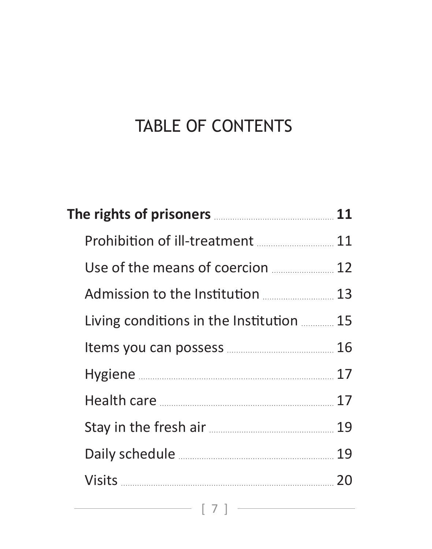## TABLE OF CONTENTS

| Prohibition of ill-treatment  11              |  |
|-----------------------------------------------|--|
|                                               |  |
| Admission to the Institution <b>Manual</b> 13 |  |
| Living conditions in the Institution  15      |  |
|                                               |  |
|                                               |  |
|                                               |  |
| Stay in the fresh air <b>Manual</b> 19        |  |
|                                               |  |
| Visits 20                                     |  |
|                                               |  |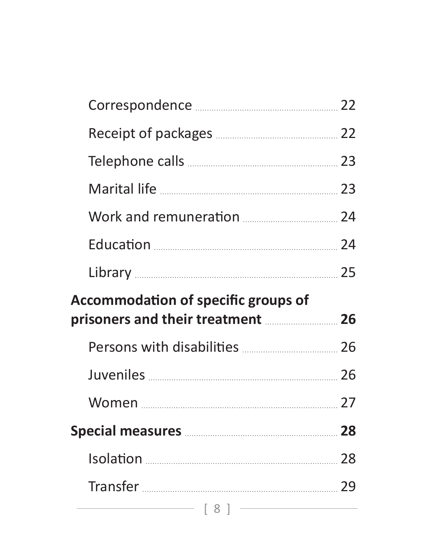| Library 25                                                                            |  |
|---------------------------------------------------------------------------------------|--|
| Accommodation of specific groups of<br>prisoners and their treatment <b>manual</b> 26 |  |
|                                                                                       |  |
|                                                                                       |  |
|                                                                                       |  |
|                                                                                       |  |
| Special measures <b>Manual According to 28</b>                                        |  |
|                                                                                       |  |
|                                                                                       |  |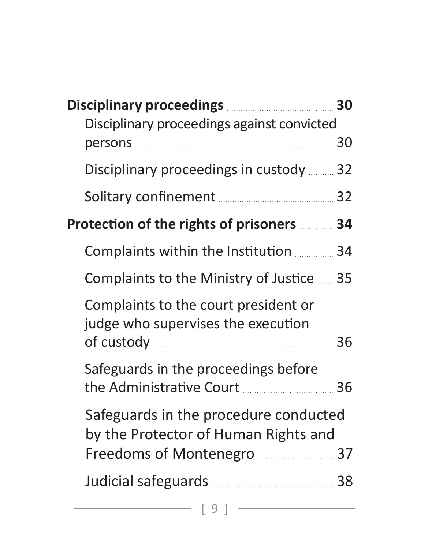| Disciplinary proceedings against convicted                                      |    |
|---------------------------------------------------------------------------------|----|
|                                                                                 |    |
| Disciplinary proceedings in custody                                             | 32 |
|                                                                                 | 32 |
| Protection of the rights of prisoners <b>manners</b> 24                         |    |
| Complaints within the Institution                                               | 34 |
| Complaints to the Ministry of Justice  35                                       |    |
| Complaints to the court president or<br>judge who supervises the execution      |    |
| Safeguards in the proceedings before                                            |    |
| Safeguards in the procedure conducted<br>by the Protector of Human Rights and   |    |
|                                                                                 |    |
| $\begin{tabular}{c} \quad \quad \quad & \quad \quad \textbf{0.3} \end{tabular}$ |    |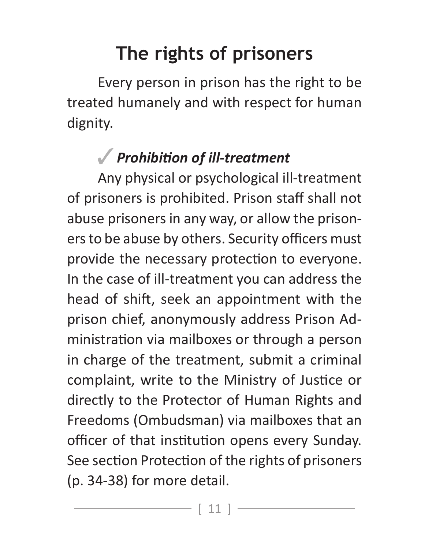# **The rights of prisoners**

Every person in prison has the right to be treated humanely and with respect for human dignity.

## *Prohibition of ill-treatment*

Any physical or psychological ill-treatment of prisoners is prohibited. Prison staff shall not abuse prisoners in any way, or allow the prisoners to be abuse by others. Security officers must provide the necessary protection to everyone. In the case of ill-treatment you can address the head of shift, seek an appointment with the prison chief, anonymously address Prison Administration via mailboxes or through a person in charge of the treatment, submit a criminal complaint, write to the Ministry of Justice or directly to the Protector of Human Rights and Freedoms (Ombudsman) via mailboxes that an officer of that institution opens every Sunday. See section Protection of the rights of prisoners (p. 34-38) for more detail.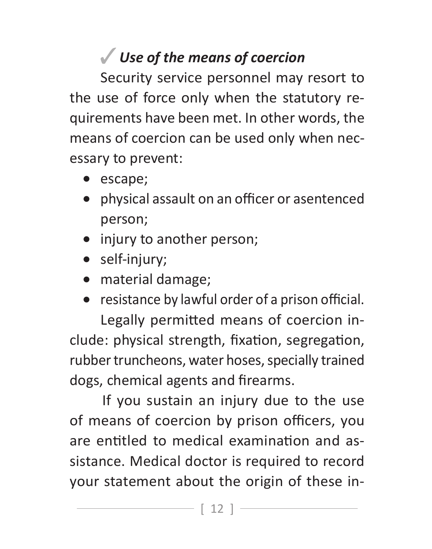## *Use of the means of coercion*

Security service personnel may resort to the use of force only when the statutory requirements have been met. In other words, the means of coercion can be used only when necessary to prevent:

- escape;
- • physical assault on an officer or asentenced person;
- injury to another person;
- self-injury;
- material damage:
- resistance by lawful order of a prison official. Legally permitted means of coercion include: physical strength, fixation, segregation,

rubber truncheons, water hoses, specially trained dogs, chemical agents and firearms.

If you sustain an injury due to the use of means of coercion by prison officers, you are entitled to medical examination and assistance. Medical doctor is required to record your statement about the origin of these in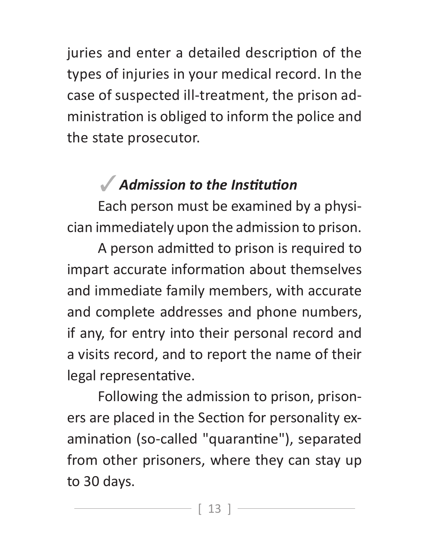juries and enter a detailed description of the types of injuries in your medical record. In the case of suspected ill-treatment, the prison administration is obliged to inform the police and the state prosecutor.

#### *Admission to the Institution*

Each person must be examined by a physician immediately upon the admission to prison.

A person admitted to prison is required to impart accurate information about themselves and immediate family members, with accurate and complete addresses and phone numbers, if any, for entry into their personal record and a visits record, and to report the name of their legal representative.

Following the admission to prison, prisoners are placed in the Section for personality examination (so-called "quarantine"), separated from other prisoners, where they can stay up to 30 days.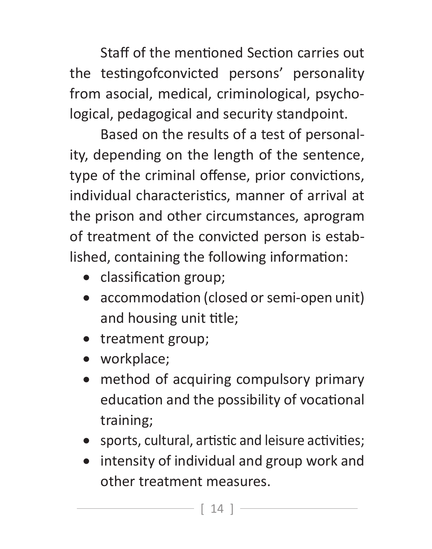Staff of the mentioned Section carries out the testingofconvicted persons' personality from asocial, medical, criminological, psychological, pedagogical and security standpoint.

Based on the results of a test of personality, depending on the length of the sentence, type of the criminal offense, prior convictions, individual characteristics, manner of arrival at the prison and other circumstances, aprogram of treatment of the convicted person is established, containing the following information:

- classification group:
- accommodation (closed or semi-open unit) and housing unit title;
- treatment group;
- workplace;
- method of acquiring compulsory primary education and the possibility of vocational training;
- sports, cultural, artistic and leisure activities;
- intensity of individual and group work and other treatment measures.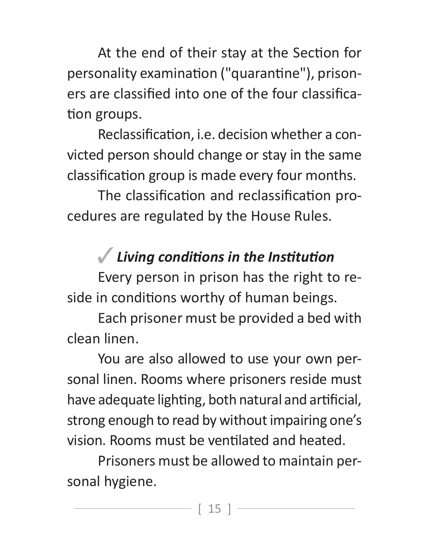At the end of their stay at the Section for personality examination ("quarantine"), prisoners are classified into one of the four classification groups.

Reclassification, i.e. decision whether a convicted person should change or stay in the same classification group is made every four months.

The classification and reclassification procedures are regulated by the House Rules.

#### *Living conditions in the Institution*

Every person in prison has the right to reside in conditions worthy of human beings.

Each prisoner must be provided a bed with clean linen.

You are also allowed to use your own personal linen. Rooms where prisoners reside must have adequate lighting, both natural and artificial, strong enough to read by without impairing one's vision. Rooms must be ventilated and heated.

Prisoners must be allowed to maintain personal hygiene.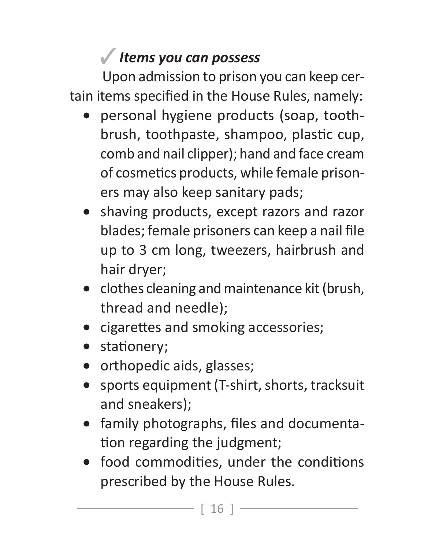## *Items you can possess*

Upon admission to prison you can keep certain items specified in the House Rules, namely:

- personal hygiene products (soap, toothbrush, toothpaste, shampoo, plastic cup, comb and nail clipper); hand and face cream of cosmetics products, while female prisoners may also keep sanitary pads;
- shaving products, except razors and razor blades; female prisoners can keep a nail file up to 3 cm long, tweezers, hairbrush and hair dryer;
- clothes cleaning and maintenance kit (brush, thread and needle);
- cigarettes and smoking accessories;
- stationery;
- orthopedic aids, glasses;
- sports equipment (T-shirt, shorts, tracksuit and sneakers);
- family photographs, files and documentation regarding the judgment;
- food commodities, under the conditions prescribed by the House Rules.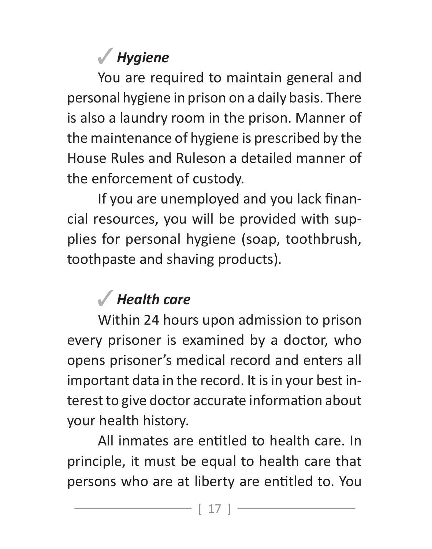## *Hygiene*

You are required to maintain general and personal hygiene in prison on a daily basis. There is also a laundry room in the prison. Manner of the maintenance of hygiene is prescribed by the House Rules and Ruleson a detailed manner of the enforcement of custody.

If you are unemployed and you lack financial resources, you will be provided with supplies for personal hygiene (soap, toothbrush, toothpaste and shaving products).

## *Health care*

Within 24 hours upon admission to prison every prisoner is examined by a doctor, who opens prisoner's medical record and enters all important data in the record. It is in your best interest to give doctor accurate information about your health history.

All inmates are entitled to health care. In principle, it must be equal to health care that persons who are at liberty are entitled to. You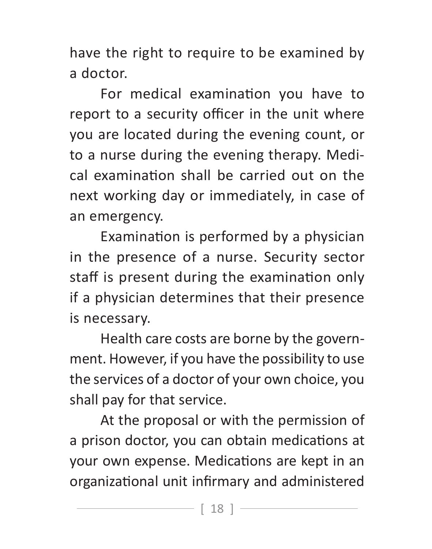have the right to require to be examined by a doctor.

For medical examination you have to report to a security officer in the unit where you are located during the evening count, or to a nurse during the evening therapy. Medical examination shall be carried out on the next working day or immediately, in case of an emergency.

Examination is performed by a physician in the presence of a nurse. Security sector staff is present during the examination only if a physician determines that their presence is necessary.

Health care costs are borne by the government. However, if you have the possibility to use the services of a doctor of your own choice, you shall pay for that service.

At the proposal or with the permission of a prison doctor, you can obtain medications at your own expense. Medications are kept in an organizational unit infirmary and administered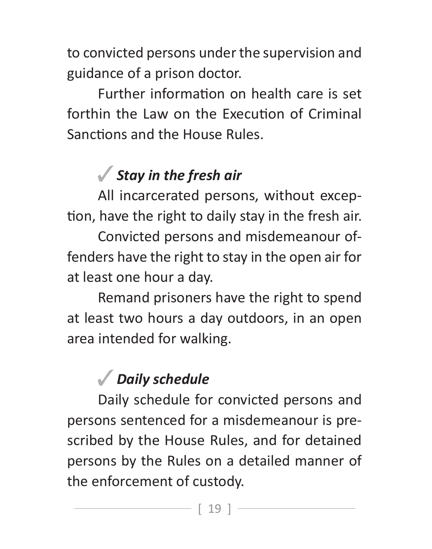to convicted persons under the supervision and guidance of a prison doctor.

Further information on health care is set forthin the Law on the Execution of Criminal Sanctions and the House Rules.

## *Stay in the fresh air*

All incarcerated persons, without exception, have the right to daily stay in the fresh air.

Convicted persons and misdemeanour offenders have the right to stay in the open air for at least one hour a day.

Remand prisoners have the right to spend at least two hours a day outdoors, in an open area intended for walking.

## *Daily schedule*

Daily schedule for convicted persons and persons sentenced for a misdemeanour is prescribed by the House Rules, and for detained persons by the Rules on a detailed manner of the enforcement of custody.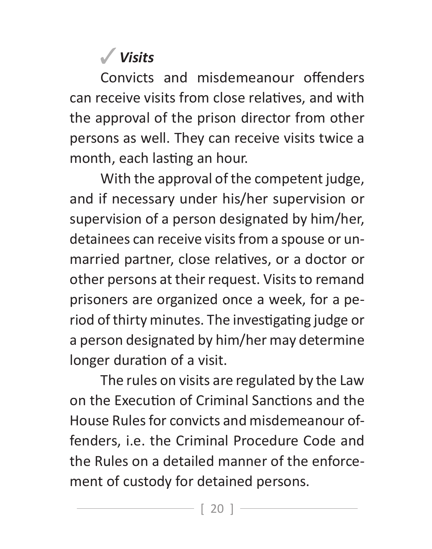#### *Visits*

Convicts and misdemeanour offenders can receive visits from close relatives, and with the approval of the prison director from other persons as well. They can receive visits twice a month, each lasting an hour.

With the approval of the competent judge, and if necessary under his/her supervision or supervision of a person designated by him/her, detainees can receive visits from a spouse or unmarried partner, close relatives, or a doctor or other persons at their request. Visits to remand prisoners are organized once a week, for a period of thirty minutes. The investigating judge or a person designated by him/her may determine longer duration of a visit.

The rules on visits are regulated by the Law on the Execution of Criminal Sanctions and the House Rules for convicts and misdemeanour offenders, i.e. the Criminal Procedure Code and the Rules on a detailed manner of the enforcement of custody for detained persons.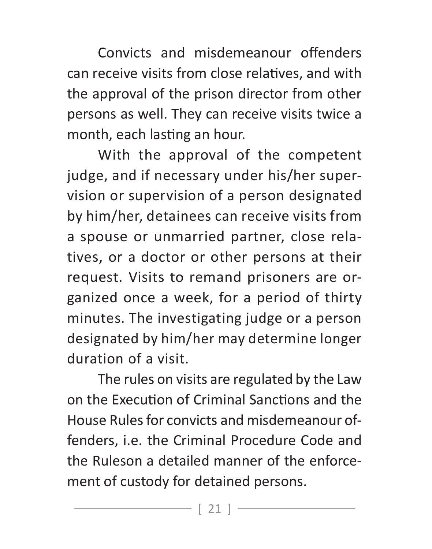Convicts and misdemeanour offenders can receive visits from close relatives, and with the approval of the prison director from other persons as well. They can receive visits twice a month, each lasting an hour.

With the approval of the competent judge, and if necessary under his/her supervision or supervision of a person designated by him/her, detainees can receive visits from a spouse or unmarried partner, close relatives, or a doctor or other persons at their request. Visits to remand prisoners are organized once a week, for a period of thirty minutes. The investigating judge or a person designated by him/her may determine longer duration of a visit.

The rules on visits are regulated by the Law on the Execution of Criminal Sanctions and the House Rules for convicts and misdemeanour offenders, i.e. the Criminal Procedure Code and the Ruleson a detailed manner of the enforcement of custody for detained persons.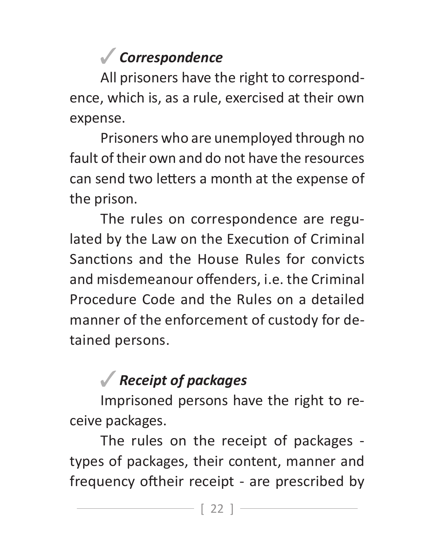## *Correspondence*

All prisoners have the right to correspondence, which is, as a rule, exercised at their own expense.

Prisoners who are unemployed through no fault of their own and do not have the resources can send two letters a month at the expense of the prison.

The rules on correspondence are regulated by the Law on the Execution of Criminal Sanctions and the House Rules for convicts and misdemeanour offenders, i.e. the Criminal Procedure Code and the Rules on a detailed manner of the enforcement of custody for detained persons.

## *Receipt of packages*

Imprisoned persons have the right to receive packages.

The rules on the receipt of packages types of packages, their content, manner and frequency oftheir receipt - are prescribed by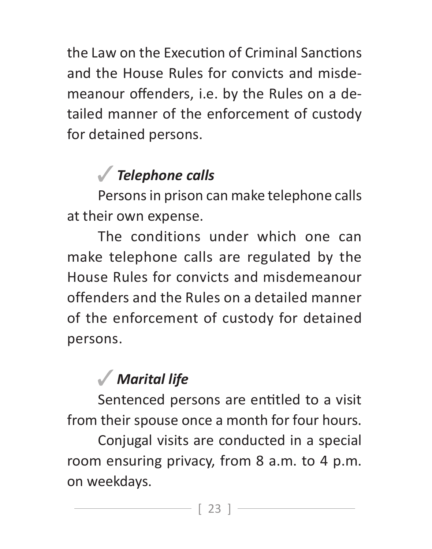the Law on the Execution of Criminal Sanctions and the House Rules for convicts and misdemeanour offenders, i.e. by the Rules on a detailed manner of the enforcement of custody for detained persons.

#### *Telephone calls*

Persons in prison can make telephone calls at their own expense.

The conditions under which one can make telephone calls are regulated by the House Rules for convicts and misdemeanour offenders and the Rules on a detailed manner of the enforcement of custody for detained persons.

# *Marital life*

Sentenced persons are entitled to a visit from their spouse once a month for four hours. Conjugal visits are conducted in a special room ensuring privacy, from 8 a.m. to 4 p.m. on weekdays.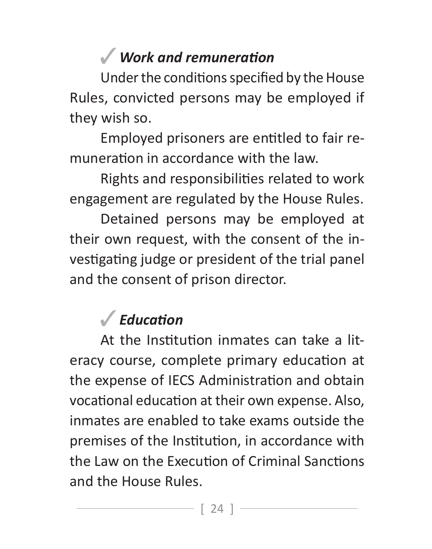#### *Work and remuneration*

Under the conditions specified by the House Rules, convicted persons may be employed if they wish so.

Employed prisoners are entitled to fair remuneration in accordance with the law.

Rights and responsibilities related to work engagement are regulated by the House Rules.

Detained persons may be employed at their own request, with the consent of the investigating judge or president of the trial panel and the consent of prison director.

## *Education*

At the Institution inmates can take a literacy course, complete primary education at the expense of IECS Administration and obtain vocational education at their own expense. Also, inmates are enabled to take exams outside the premises of the Institution, in accordance with the Law on the Execution of Criminal Sanctions and the House Rules.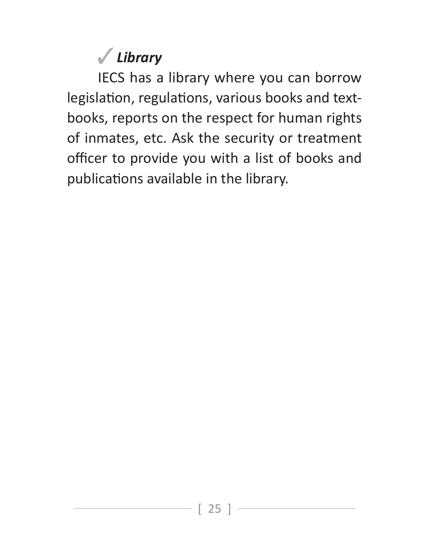## *Library*

IECS has a library where you can borrow legislation, regulations, various books and textbooks, reports on the respect for human rights of inmates, etc. Ask the security or treatment officer to provide you with a list of books and publications available in the library.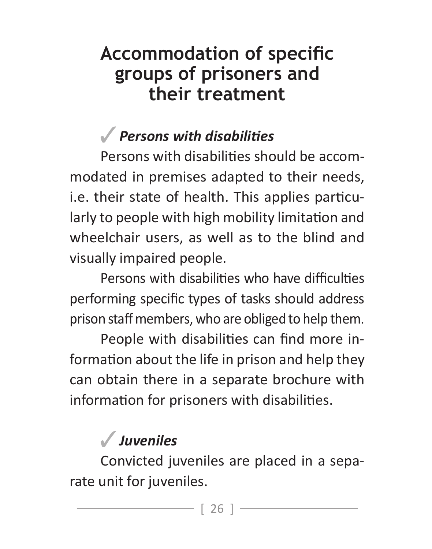## **Accommodation of specific groups of prisoners and their treatment**

#### *Persons with disabilities*

Persons with disabilities should be accommodated in premises adapted to their needs, i.e. their state of health. This applies particularly to people with high mobility limitation and wheelchair users, as well as to the blind and visually impaired people.

Persons with disabilities who have difficulties performing specific types of tasks should address prison staff members, who are obliged to help them.

People with disabilities can find more information about the life in prison and help they can obtain there in a separate brochure with information for prisoners with disabilities.

## *Juveniles*

Convicted juveniles are placed in a separate unit for juveniles.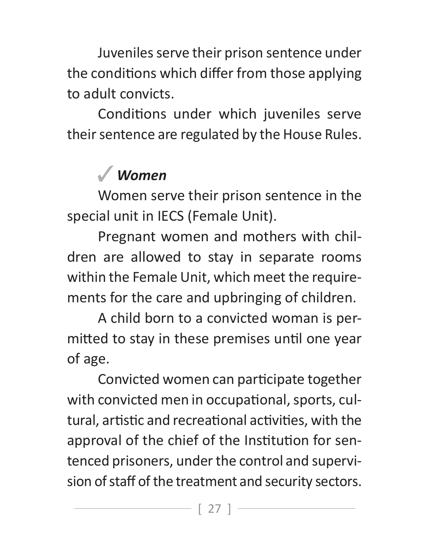Juveniles serve their prison sentence under the conditions which differ from those applying to adult convicts.

Conditions under which juveniles serve their sentence are regulated by the House Rules.

## *Women*

Women serve their prison sentence in the special unit in IECS (Female Unit).

Pregnant women and mothers with children are allowed to stay in separate rooms within the Female Unit, which meet the requirements for the care and upbringing of children.

A child born to a convicted woman is permitted to stay in these premises until one year of age.

Convicted women can participate together with convicted men in occupational, sports, cultural, artistic and recreational activities, with the approval of the chief of the Institution for sentenced prisoners, under the control and supervision of staff of the treatment and security sectors.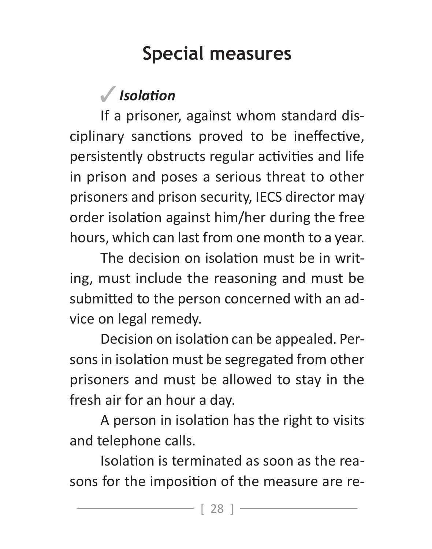# **Special measures**

## *Isolation*

If a prisoner, against whom standard disciplinary sanctions proved to be ineffective, persistently obstructs regular activities and life in prison and poses a serious threat to other prisoners and prison security, IECS director may order isolation against him/her during the free hours, which can last from one month to a year.

The decision on isolation must be in writing, must include the reasoning and must be submitted to the person concerned with an advice on legal remedy.

Decision on isolation can be appealed. Persons in isolation must be segregated from other prisoners and must be allowed to stay in the fresh air for an hour a day.

A person in isolation has the right to visits and telephone calls.

Isolation is terminated as soon as the reasons for the imposition of the measure are re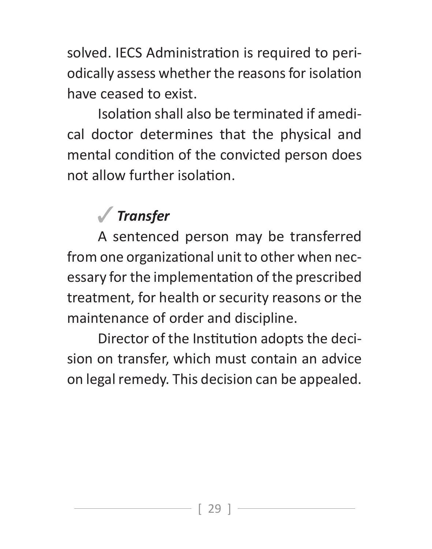solved. IECS Administration is required to periodically assess whether the reasons for isolation have ceased to exist.

Isolation shall also be terminated if amedical doctor determines that the physical and mental condition of the convicted person does not allow further isolation.

## *Transfer*

A sentenced person may be transferred from one organizational unit to other when necessary for the implementation of the prescribed treatment, for health or security reasons or the maintenance of order and discipline.

Director of the Institution adopts the decision on transfer, which must contain an advice on legal remedy. This decision can be appealed.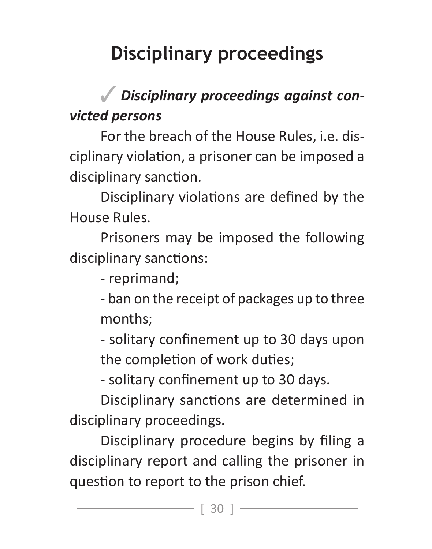# **Disciplinary proceedings**

## *Disciplinary proceedings against convicted persons*

For the breach of the House Rules, i.e. disciplinary violation, a prisoner can be imposed a disciplinary sanction.

Disciplinary violations are defined by the House Rules.

Prisoners may be imposed the following disciplinary sanctions:

- reprimand;

- ban on the receipt of packages up to three months;

- solitary confinement up to 30 days upon the completion of work duties;

- solitary confinement up to 30 days.

Disciplinary sanctions are determined in disciplinary proceedings.

Disciplinary procedure begins by filing a disciplinary report and calling the prisoner in question to report to the prison chief.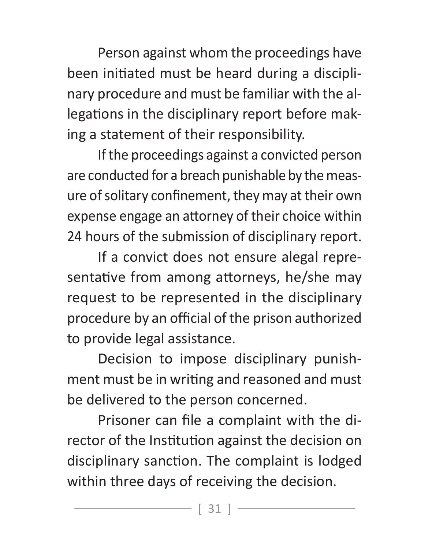Person against whom the proceedings have been initiated must be heard during a disciplinary procedure and must be familiar with the allegations in the disciplinary report before making a statement of their responsibility.

If the proceedings against a convicted person are conducted for a breach punishable by the measure of solitary confinement, they may at their own expense engage an attorney of their choice within 24 hours of the submission of disciplinary report.

If a convict does not ensure alegal representative from among attorneys, he/she may request to be represented in the disciplinary procedure by an official of the prison authorized to provide legal assistance.

Decision to impose disciplinary punishment must be in writing and reasoned and must be delivered to the person concerned.

Prisoner can file a complaint with the director of the Institution against the decision on disciplinary sanction. The complaint is lodged within three days of receiving the decision.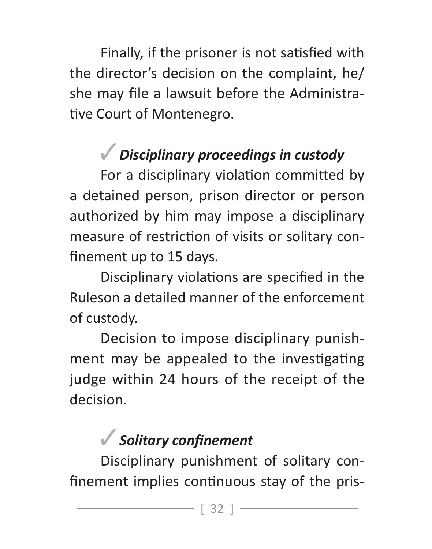Finally, if the prisoner is not satisfied with the director's decision on the complaint, he/ she may file a lawsuit before the Administrative Court of Montenegro.

#### *Disciplinary proceedings in custody*

For a disciplinary violation committed by a detained person, prison director or person authorized by him may impose a disciplinary measure of restriction of visits or solitary confinement up to 15 days.

Disciplinary violations are specified in the Ruleson a detailed manner of the enforcement of custody.

Decision to impose disciplinary punishment may be appealed to the investigating judge within 24 hours of the receipt of the decision.

## *Solitary confinement*

Disciplinary punishment of solitary confinement implies continuous stay of the pris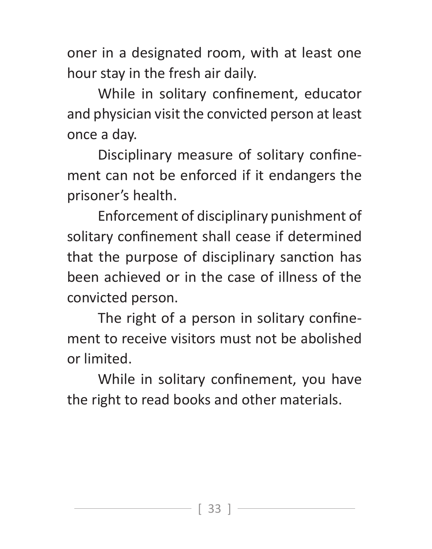oner in a designated room, with at least one hour stay in the fresh air daily.

While in solitary confinement, educator and physician visit the convicted person at least once a day.

Disciplinary measure of solitary confinement can not be enforced if it endangers the prisoner's health.

Enforcement of disciplinary punishment of solitary confinement shall cease if determined that the purpose of disciplinary sanction has been achieved or in the case of illness of the convicted person.

The right of a person in solitary confinement to receive visitors must not be abolished or limited.

While in solitary confinement, you have the right to read books and other materials.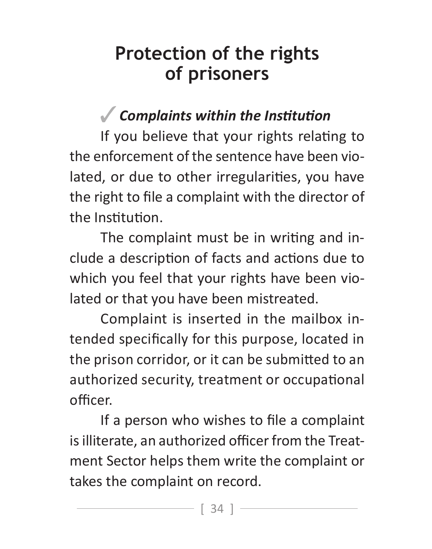## **Protection of the rights of prisoners**

#### *Complaints within the Institution*

If you believe that your rights relating to the enforcement of the sentence have been violated, or due to other irregularities, you have the right to file a complaint with the director of the Institution.

The complaint must be in writing and include a description of facts and actions due to which you feel that your rights have been violated or that you have been mistreated.

Complaint is inserted in the mailbox intended specifically for this purpose, located in the prison corridor, or it can be submitted to an authorized security, treatment or occupational officer.

If a person who wishes to file a complaint is illiterate, an authorized officer from the Treatment Sector helps them write the complaint or takes the complaint on record.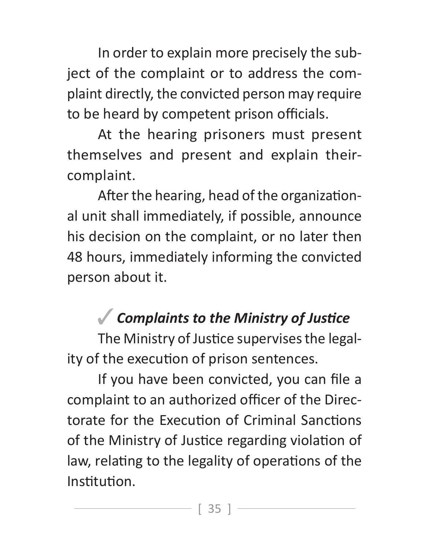In order to explain more precisely the subject of the complaint or to address the complaint directly, the convicted person may require to be heard by competent prison officials.

At the hearing prisoners must present themselves and present and explain theircomplaint.

After the hearing, head of the organizational unit shall immediately, if possible, announce his decision on the complaint, or no later then 48 hours, immediately informing the convicted person about it.

#### *Complaints to the Ministry of Justice*

The Ministry of Justice supervises the legality of the execution of prison sentences.

If you have been convicted, you can file a complaint to an authorized officer of the Directorate for the Execution of Criminal Sanctions of the Ministry of Justice regarding violation of law, relating to the legality of operations of the Institution.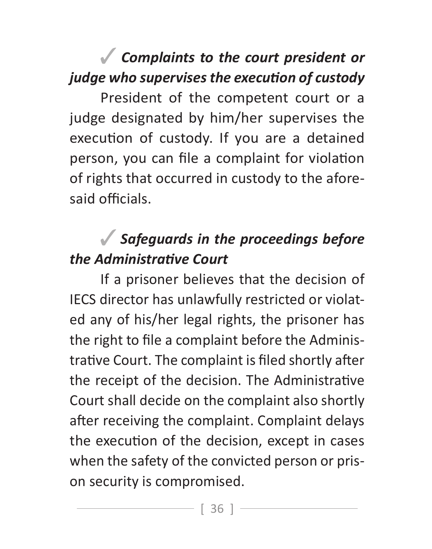*Complaints to the court president or judge who supervises the execution of custody*

President of the competent court or a judge designated by him/her supervises the execution of custody. If you are a detained person, you can file a complaint for violation of rights that occurred in custody to the aforesaid officials.

#### *Safeguards in the proceedings before the Administrative Court*

If a prisoner believes that the decision of IECS director has unlawfully restricted or violated any of his/her legal rights, the prisoner has the right to file a complaint before the Administrative Court. The complaint is filed shortly after the receipt of the decision. The Administrative Court shall decide on the complaint also shortly after receiving the complaint. Complaint delays the execution of the decision, except in cases when the safety of the convicted person or prison security is compromised.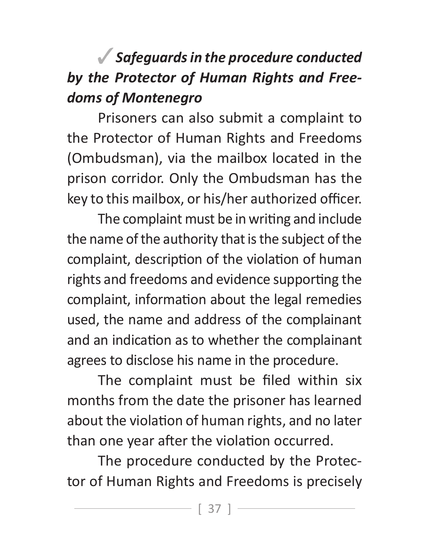#### *Safeguards in the procedure conducted by the Protector of Human Rights and Freedoms of Montenegro*

Prisoners can also submit a complaint to the Protector of Human Rights and Freedoms (Ombudsman), via the mailbox located in the prison corridor. Only the Ombudsman has the key to this mailbox, or his/her authorized officer.

The complaint must be in writing and include the name of the authority that is the subject of the complaint, description of the violation of human rights and freedoms and evidence supporting the complaint, information about the legal remedies used, the name and address of the complainant and an indication as to whether the complainant agrees to disclose his name in the procedure.

The complaint must be filed within six months from the date the prisoner has learned about the violation of human rights, and no later than one year after the violation occurred.

The procedure conducted by the Protector of Human Rights and Freedoms is precisely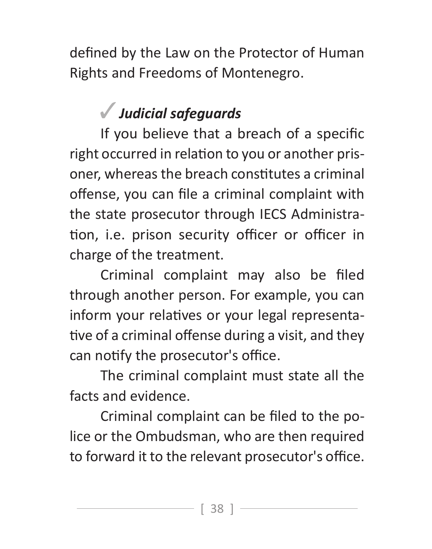defined by the Law on the Protector of Human Rights and Freedoms of Montenegro.

## *Judicial safeguards*

If you believe that a breach of a specific right occurred in relation to you or another prisoner, whereas the breach constitutes a criminal offense, you can file a criminal complaint with the state prosecutor through IECS Administration, i.e. prison security officer or officer in charge of the treatment.

Criminal complaint may also be filed through another person. For example, you can inform your relatives or your legal representative of a criminal offense during a visit, and they can notify the prosecutor's office.

The criminal complaint must state all the facts and evidence.

Criminal complaint can be filed to the police or the Ombudsman, who are then required to forward it to the relevant prosecutor's office.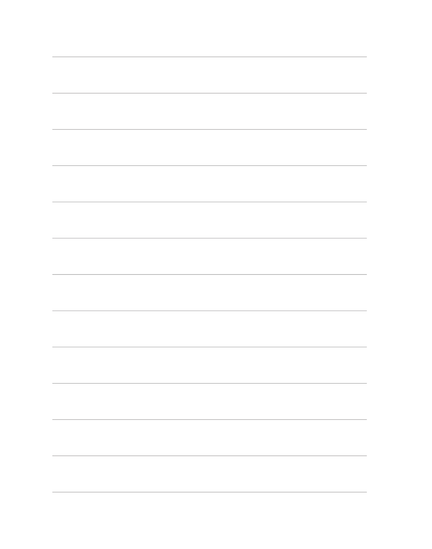